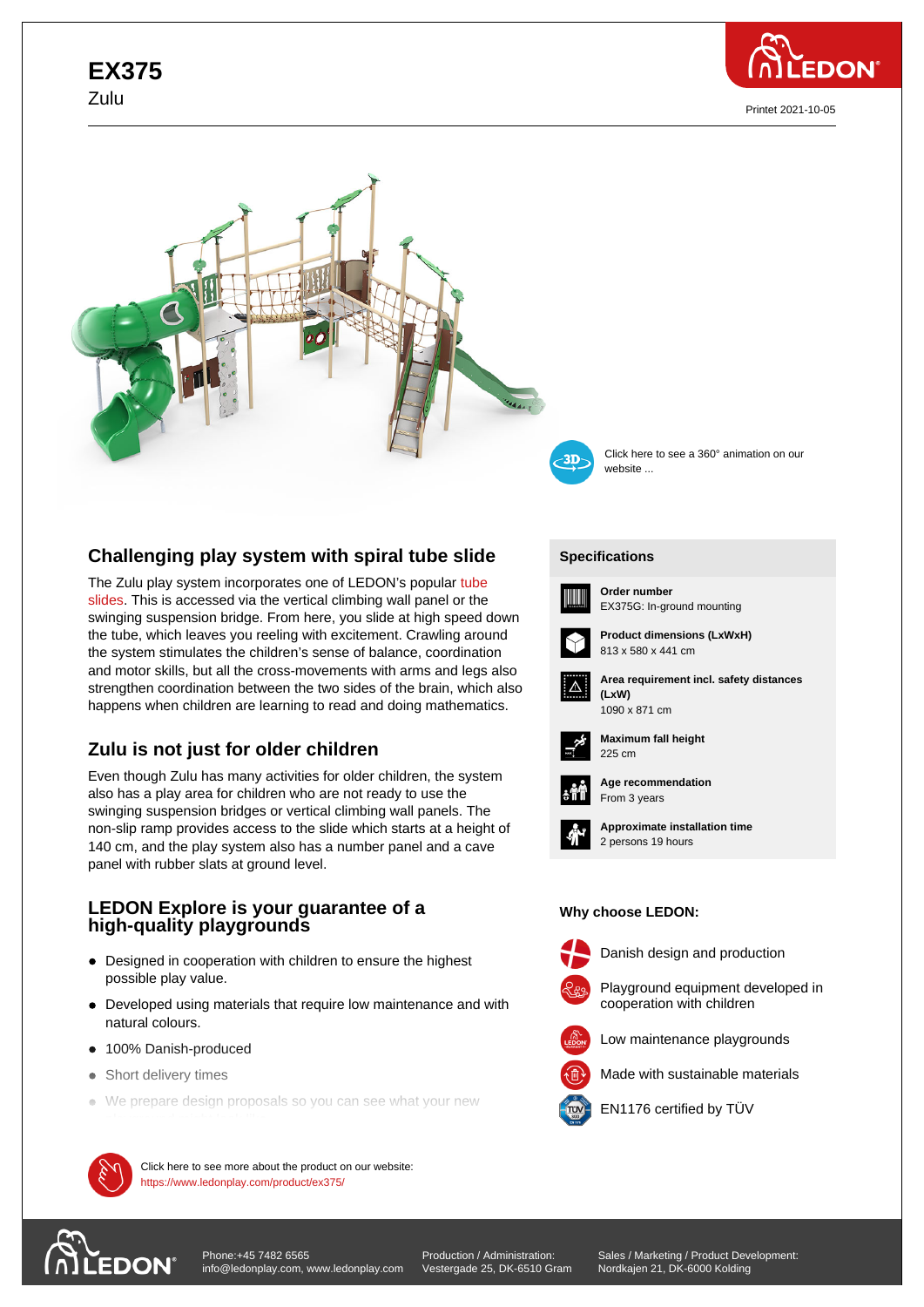# **EX375** Zulu



Printet 2021-10-05





Click here to see a 360° animation on our website ...

## **Challenging play system with spiral tube slide**

The Zulu play system incorporates one of LEDON's popular tube slides. This is accessed via the vertical climbing wall panel or the swinging suspension bridge. From here, you slide at high speed down the tube, which leaves you reeling with excitement. Crawling around the system stimulates the children's sense of balance, coord[inatio](https://www.ledonplay.com/tube-slides/)n [and m](https://www.ledonplay.com/tube-slides/)otor skills, but all the cross-movements with arms and legs also strengthen coordination between the two sides of the brain, which also happens when children are learning to read and doing mathematics.

## **Zulu is not just for older children**

Even though Zulu has many activities for older children, the system also has a play area for children who are not ready to use the swinging suspension bridges or vertical climbing wall panels. The non-slip ramp provides access to the slide which starts at a height of 140 cm, and the play system also has a number panel and a cave panel with rubber slats at ground level.

## **LEDON Explore is your guarantee of a high-quality playgrounds**

- Designed in cooperation with children to ensure the highest possible play value.
- Developed using materials that require low maintenance and with natural colours.
- 100% Danish-produced
- Short delivery times
- We prepare design proposals so you can see what your new



 $\mathcal{M}$  Click here to see more about the product on our website: https://www.ledonplay.com/product/ex375/

### **[Specific](https://www.ledonplay.com/product/ex375/)ations [Speci](https://www.ledonplay.com/product/ex375/)fications**



**Order number** EX375G: In-ground mounting



813 x 580 x 441 cm



**Area requirement incl. safety distances (LxW) (LxW)**



**Maximum fall height** 225 cm 225 cm



**Age recommendation** From 3 years



**Approximate installation time** 2 persons 19 hours

#### **Why choose LEDON: Why choose LEDON:**



Danish design and production



Playground equipment developed in



Low maintenance playgrounds





EN1176 certified by TÜV